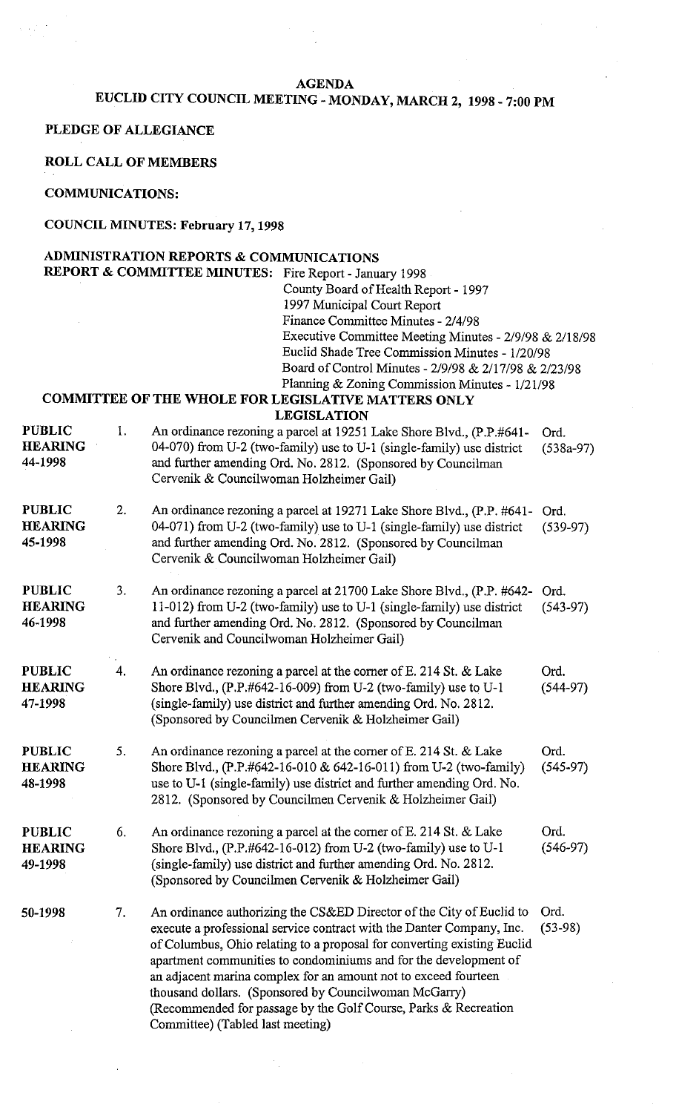#### **AGENDA**

# **EUCLID CITY COUNCIL MEETING** - **MONDAY, MARCH 2, 1998** - **7:00 PM**

**PLEDGE OF ALLEGIANCE** 

**ROLL CALL OF MEMBERS** 

#### **COMMUNICATIONS:**

### **COUNCIL MINUTES: February 17,1998**

|                                            |    | ADMINISTRATION REPORTS & COMMUNICATIONS    |                                                                                                                                                                                                                                                                               |                     |  |
|--------------------------------------------|----|--------------------------------------------|-------------------------------------------------------------------------------------------------------------------------------------------------------------------------------------------------------------------------------------------------------------------------------|---------------------|--|
| <b>REPORT &amp; COMMITTEE MINUTES:</b>     |    |                                            | Fire Report - January 1998                                                                                                                                                                                                                                                    |                     |  |
|                                            |    |                                            | County Board of Health Report - 1997                                                                                                                                                                                                                                          |                     |  |
|                                            |    |                                            | 1997 Municipal Court Report                                                                                                                                                                                                                                                   |                     |  |
|                                            |    |                                            | Finance Committee Minutes - 2/4/98                                                                                                                                                                                                                                            |                     |  |
|                                            |    |                                            | Executive Committee Meeting Minutes - 2/9/98 & 2/18/98                                                                                                                                                                                                                        |                     |  |
|                                            |    |                                            | Euclid Shade Tree Commission Minutes - 1/20/98                                                                                                                                                                                                                                |                     |  |
|                                            |    |                                            | Board of Control Minutes - 2/9/98 & 2/17/98 & 2/23/98                                                                                                                                                                                                                         |                     |  |
|                                            |    |                                            | Planning & Zoning Commission Minutes - 1/21/98                                                                                                                                                                                                                                |                     |  |
|                                            |    |                                            | COMMITTEE OF THE WHOLE FOR LEGISLATIVE MATTERS ONLY                                                                                                                                                                                                                           |                     |  |
|                                            |    |                                            | <b>LEGISLATION</b>                                                                                                                                                                                                                                                            |                     |  |
| <b>PUBLIC</b><br><b>HEARING</b><br>44-1998 | 1. | Cervenik & Councilwoman Holzheimer Gail)   | An ordinance rezoning a parcel at 19251 Lake Shore Blvd., (P.P.#641-<br>04-070) from U-2 (two-family) use to U-1 (single-family) use district<br>and further amending Ord. No. 2812. (Sponsored by Councilman                                                                 | Ord.<br>$(538a-97)$ |  |
| <b>PUBLIC</b><br><b>HEARING</b><br>45-1998 | 2. | Cervenik & Councilwoman Holzheimer Gail)   | An ordinance rezoning a parcel at 19271 Lake Shore Blvd., (P.P. #641-<br>04-071) from U-2 (two-family) use to U-1 (single-family) use district<br>and further amending Ord. No. 2812. (Sponsored by Councilman                                                                | Ord.<br>$(539-97)$  |  |
| <b>PUBLIC</b><br><b>HEARING</b><br>46-1998 | 3. | Cervenik and Councilwoman Holzheimer Gail) | An ordinance rezoning a parcel at 21700 Lake Shore Blvd., (P.P. #642-<br>11-012) from U-2 (two-family) use to U-1 (single-family) use district<br>and further amending Ord. No. 2812. (Sponsored by Councilman                                                                | Ord.<br>$(543-97)$  |  |
| <b>PUBLIC</b><br><b>HEARING</b><br>17-1998 | 4. |                                            | An ordinance rezoning a parcel at the corner of E. 214 St. & Lake<br>Shore Blvd., (P.P.#642-16-009) from U-2 (two-family) use to U-1<br>(single-family) use district and further amending Ord. No. 2812.<br>(Sponsored by Councilmen Cervenik & Holzheimer Gail)              | Ord.<br>$(544-97)$  |  |
| <b>PUBLIC</b><br><b>HEARING</b><br>18-1998 | 5. |                                            | An ordinance rezoning a parcel at the corner of E. 214 St. & Lake<br>Shore Blvd., (P.P.#642-16-010 & 642-16-011) from U-2 (two-family)<br>use to U-1 (single-family) use district and further amending Ord. No.<br>2812. (Sponsored by Councilmen Cervenik & Holzheimer Gail) | Ord.<br>$(545-97)$  |  |

**PUBLIC** 6. An ordinance rezoning a parcel at the corner of E. 214 St. & Lake Ord.<br> **HEARING** Shore Blvd., (P.P.#642-16-012) from U-2 (two-family) use to U-1 (546-97) **HEARING** Shore Blvd., (P.P.#642-16-012) from U-2 (two-family) use to U-1 **49-1998** (single-family) use district and further amending Ord. No. 2812. (Sponsored by Councilmen Cervenik & Holzheimer Gail)

7. An ordinance authorizing the CS&ED Director of the City of Euclid to Ord. 50-1998 execute a professional service contract with the Danter Company, Inc. (53-98) of Columbus, Ohio relating to a proposal for converting existing Euclid apartment communities to condominiums and for the development of an adjacent marina complex for an amount not to exceed fourteen thousand dollars. (Sponsored by Councilwoman McGany) (Recommended for passage by the Golf Course, Parks & Recreation Committee) (Tabled last meeting)